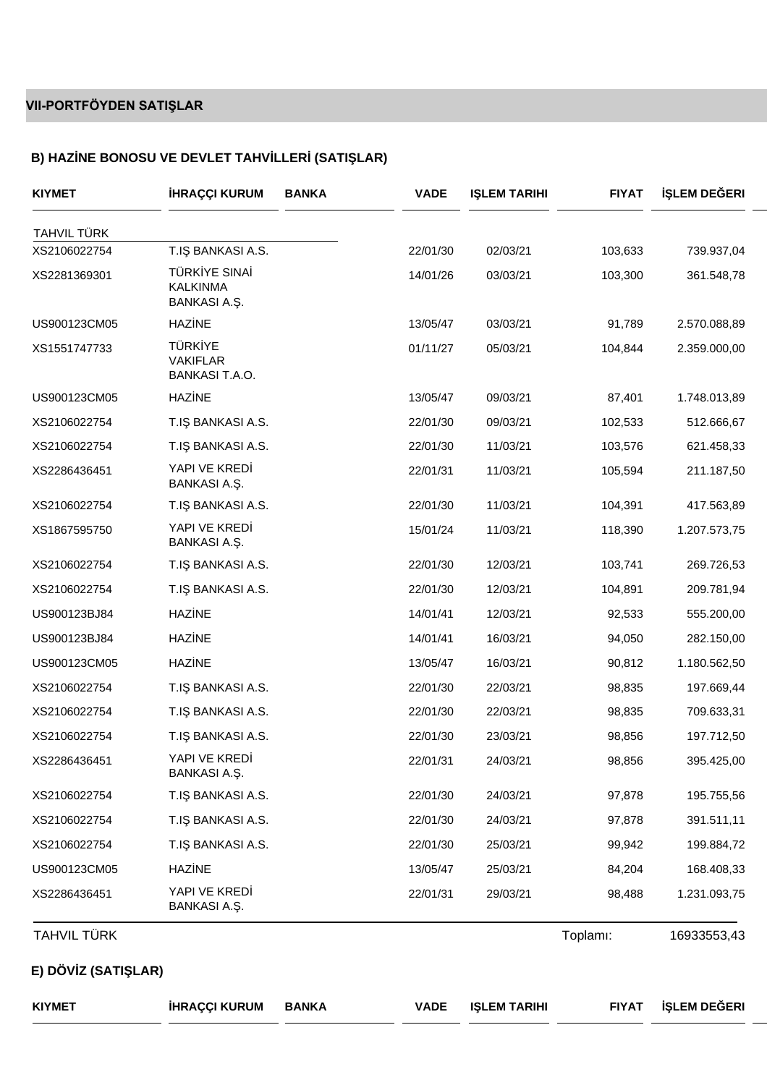## **VII-PORTFÖYDEN SATIŞLAR**

## **B) HAZ NE BONOSU VE DEVLET TAHV LLER (SATI LAR)**

| <b>KIYMET</b>       | <b>HRAÇÇI KURUM</b>                                 | <b>BANKA</b> | <b>VADE</b> | <b>I LEM TARIHI</b> | <b>FIYAT</b> | LEM DE ERI   |
|---------------------|-----------------------------------------------------|--------------|-------------|---------------------|--------------|--------------|
| <b>TAHVIL TÜRK</b>  |                                                     |              |             |                     |              |              |
| XS2106022754        | <b>BANKASI A.S.</b><br>T.I                          |              | 22/01/30    | 02/03/21            | 103,633      | 739.937,04   |
| XS2281369301        | TÜRK YE SINA<br><b>KALKINMA</b><br>BANKASIA         |              | 14/01/26    | 03/03/21            | 103,300      | 361.548,78   |
| US900123CM05        | HAZ NE                                              |              | 13/05/47    | 03/03/21            | 91,789       | 2.570.088,89 |
| XS1551747733        | <b>TÜRK YE</b><br><b>VAKIFLAR</b><br>BANKASI T.A.O. |              | 01/11/27    | 05/03/21            | 104,844      | 2.359.000,00 |
| US900123CM05        | HAZ NE                                              |              | 13/05/47    | 09/03/21            | 87,401       | 1.748.013,89 |
| XS2106022754        | T.I BANKASI A.S.                                    |              | 22/01/30    | 09/03/21            | 102,533      | 512.666,67   |
| XS2106022754        | <b>BANKASI A.S.</b><br>T.I                          |              | 22/01/30    | 11/03/21            | 103,576      | 621.458,33   |
| XS2286436451        | YAPI VE KRED<br>BANKASIA                            |              | 22/01/31    | 11/03/21            | 105,594      | 211.187,50   |
| XS2106022754        | T.I BANKASI A.S.                                    |              | 22/01/30    | 11/03/21            | 104,391      | 417.563,89   |
| XS1867595750        | YAPI VE KRED<br>BANKASIA                            |              | 15/01/24    | 11/03/21            | 118,390      | 1.207.573,75 |
| XS2106022754        | T.I BANKASI A.S.                                    |              | 22/01/30    | 12/03/21            | 103,741      | 269.726,53   |
| XS2106022754        | <b>BANKASI A.S.</b><br>T.I                          |              | 22/01/30    | 12/03/21            | 104,891      | 209.781,94   |
| US900123BJ84        | HAZ NE                                              |              | 14/01/41    | 12/03/21            | 92,533       | 555.200,00   |
| US900123BJ84        | HAZ NE                                              |              | 14/01/41    | 16/03/21            | 94,050       | 282.150,00   |
| US900123CM05        | HAZ NE                                              |              | 13/05/47    | 16/03/21            | 90,812       | 1.180.562,50 |
| XS2106022754        | T.I BANKASI A.S.                                    |              | 22/01/30    | 22/03/21            | 98,835       | 197.669,44   |
| XS2106022754        | <b>BANKASI A.S.</b><br>T.I                          |              | 22/01/30    | 22/03/21            | 98,835       | 709.633,31   |
| XS2106022754        | <b>BANKASI A.S.</b><br>T.I                          |              | 22/01/30    | 23/03/21            | 98,856       | 197.712,50   |
| XS2286436451        | YAPI VE KRED<br>BANKASIA                            |              | 22/01/31    | 24/03/21            | 98,856       | 395.425,00   |
| XS2106022754        | <b>BANKASI A.S.</b><br>T.I                          |              | 22/01/30    | 24/03/21            | 97,878       | 195.755,56   |
| XS2106022754        | <b>BANKASI A.S.</b><br>T.I                          |              | 22/01/30    | 24/03/21            | 97,878       | 391.511,11   |
| XS2106022754        | <b>BANKASI A.S.</b><br>T.I                          |              | 22/01/30    | 25/03/21            | 99,942       | 199.884,72   |
| US900123CM05        | HAZ NE                                              |              | 13/05/47    | 25/03/21            | 84,204       | 168.408,33   |
| XS2286436451        | YAPI VE KRED<br>BANKASIA                            |              | 22/01/31    | 29/03/21            | 98,488       | 1.231.093,75 |
| <b>TAHVIL TÜRK</b>  |                                                     |              |             |                     | Toplamı:     | 16933553,43  |
| E) DÖV Z (SATI LAR) |                                                     |              |             |                     |              |              |
| <b>KIYMET</b>       | <b>HRAÇÇI KURUM</b>                                 | <b>BANKA</b> | <b>VADE</b> | <b>I LEM TARIHI</b> | <b>FIYAT</b> | LEM DE ERI   |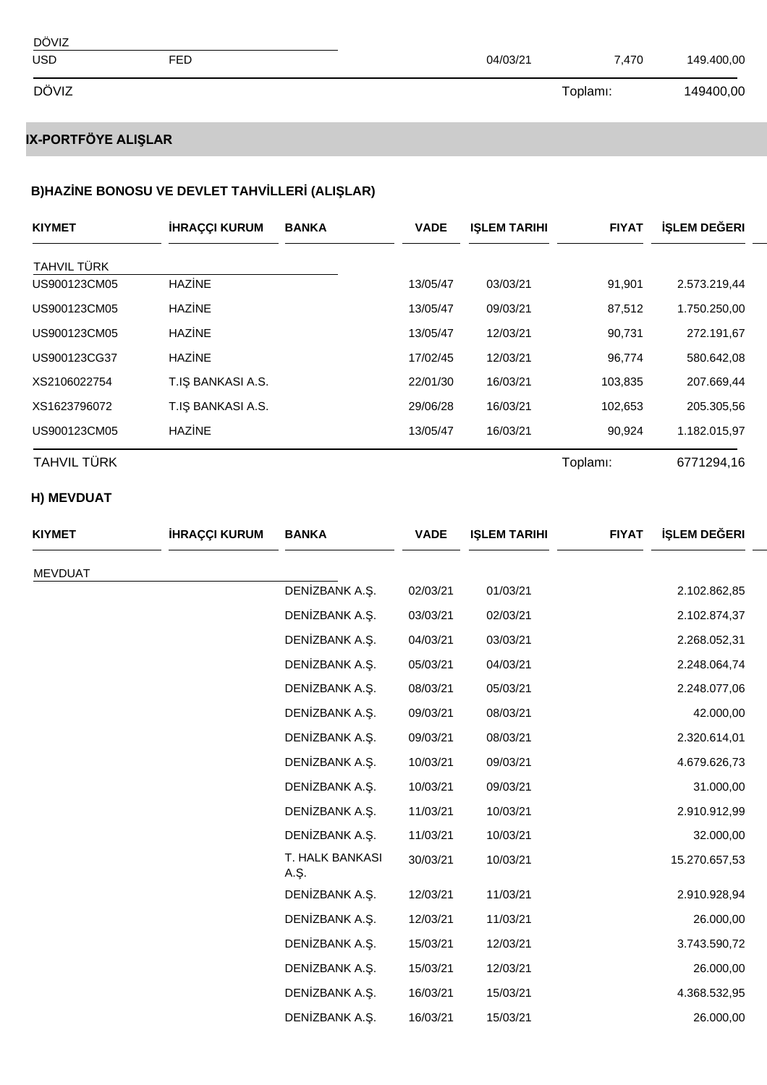| DÖVIZ      |     |          |          |            |
|------------|-----|----------|----------|------------|
| <b>USD</b> | FED | 04/03/21 | 7,470    | 149.400,00 |
| DÖVIZ      |     |          | Toplamı: | 149400,00  |

# **IX-PORTFÖYE ALIŞLAR**

### **B)HAZ NE BONOSU VE DEVLET TAHV LLER (ALI LAR)**

| <b>KIYMET</b>      | <b>HRAÇÇI KURUM</b>        | <b>BANKA</b>   | <b>VADE</b> | <b>I LEM TARIHI</b> | <b>FIYAT</b> | LEM DE ERI   |
|--------------------|----------------------------|----------------|-------------|---------------------|--------------|--------------|
| TAHVIL TÜRK        |                            |                |             |                     |              |              |
| US900123CM05       | HAZ NE                     |                | 13/05/47    | 03/03/21            | 91,901       | 2.573.219,44 |
| US900123CM05       | HAZ NE                     |                | 13/05/47    | 09/03/21            | 87,512       | 1.750.250,00 |
| US900123CM05       | HAZ NE                     |                | 13/05/47    | 12/03/21            | 90,731       | 272.191,67   |
| US900123CG37       | HAZ NE                     |                | 17/02/45    | 12/03/21            | 96,774       | 580.642,08   |
| XS2106022754       | <b>BANKASI A.S.</b><br>T.I |                | 22/01/30    | 16/03/21            | 103,835      | 207.669,44   |
| XS1623796072       | <b>BANKASI A.S.</b><br>T.I |                | 29/06/28    | 16/03/21            | 102,653      | 205.305,56   |
| US900123CM05       | HAZ NE                     |                | 13/05/47    | 16/03/21            | 90,924       | 1.182.015,97 |
| <b>TAHVIL TÜRK</b> |                            |                |             |                     | Toplamı:     | 6771294,16   |
| H) MEVDUAT         |                            |                |             |                     |              |              |
| <b>KIYMET</b>      | <b>HRAÇÇI KURUM</b>        | <b>BANKA</b>   | <b>VADE</b> | <b>I LEM TARIHI</b> | <b>FIYAT</b> | LEM DE ERI   |
| <b>MEVDUAT</b>     |                            |                |             |                     |              |              |
|                    |                            | DEN ZBANK A. . | 02/03/21    | 01/03/21            |              | 2.102.862,85 |
|                    |                            | DEN ZBANK A. . | 03/03/21    | 02/03/21            |              | 2.102.874,37 |
|                    |                            | DEN ZBANK A. . | 04/03/21    | 03/03/21            |              | 2.268.052,31 |
|                    |                            |                |             |                     |              |              |

| <b>KIYMET</b>  | <b>HRAÇÇI KURUM</b> | <b>BANKA</b>            | <b>VADE</b> | <b>I LEM TARIHI</b> | <b>FIYAT</b> | LEM DE ERI    |
|----------------|---------------------|-------------------------|-------------|---------------------|--------------|---------------|
| <b>MEVDUAT</b> |                     |                         |             |                     |              |               |
|                |                     | DEN ZBANK A.            | 02/03/21    | 01/03/21            |              | 2.102.862,85  |
|                |                     | DEN ZBANK A. .          | 03/03/21    | 02/03/21            |              | 2.102.874,37  |
|                |                     | DEN ZBANK A. .          | 04/03/21    | 03/03/21            |              | 2.268.052,31  |
|                |                     | DEN ZBANK A. .          | 05/03/21    | 04/03/21            |              | 2.248.064,74  |
|                |                     | DEN ZBANK A             | 08/03/21    | 05/03/21            |              | 2.248.077,06  |
|                |                     | DEN ZBANK A. .          | 09/03/21    | 08/03/21            |              | 42.000,00     |
|                |                     | DEN ZBANK A. .          | 09/03/21    | 08/03/21            |              | 2.320.614,01  |
|                |                     | DEN ZBANK A.            | 10/03/21    | 09/03/21            |              | 4.679.626,73  |
|                |                     | DEN ZBANK A. .          | 10/03/21    | 09/03/21            |              | 31.000,00     |
|                |                     | DEN ZBANK A. .          | 11/03/21    | 10/03/21            |              | 2.910.912,99  |
|                |                     | DEN ZBANK A. .          | 11/03/21    | 10/03/21            |              | 32.000,00     |
|                |                     | T. HALK BANKASI<br>A. . | 30/03/21    | 10/03/21            |              | 15.270.657,53 |
|                |                     | DEN ZBANK A. .          | 12/03/21    | 11/03/21            |              | 2.910.928,94  |
|                |                     | DEN ZBANK A. .          | 12/03/21    | 11/03/21            |              | 26.000,00     |
|                |                     | DEN ZBANK A. .          | 15/03/21    | 12/03/21            |              | 3.743.590,72  |
|                |                     | DEN ZBANK A.            | 15/03/21    | 12/03/21            |              | 26.000,00     |
|                |                     | DEN ZBANK A. .          | 16/03/21    | 15/03/21            |              | 4.368.532,95  |
|                |                     | DEN ZBANK A. .          | 16/03/21    | 15/03/21            |              | 26.000,00     |